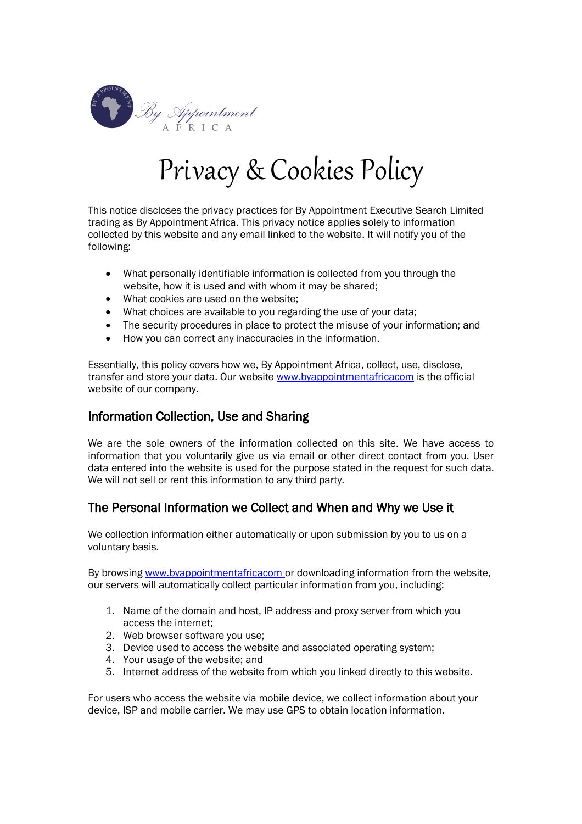

# Privacy & Cookies Policy

This notice discloses the privacy practices for By Appointment Executive Search Limited trading as By Appointment Africa. This privacy notice applies solely to information collected by this website and any email linked to the website. It will notify you of the following:

- What personally identifiable information is collected from you through the website, how it is used and with whom it may be shared;
- What cookies are used on the website;
- What choices are available to you regarding the use of your data;
- The security procedures in place to protect the misuse of your information; and
- How you can correct any inaccuracies in the information.

Essentially, this policy covers how we, By Appointment Africa, collect, use, disclose, transfer and store your data. Our website [www.byappointmentafricacom](http://www.byappointmentafricacom/) is the official website of our company.

# Information Collection, Use and Sharing

We are the sole owners of the information collected on this site. We have access to information that you voluntarily give us via email or other direct contact from you. User data entered into the website is used for the purpose stated in the request for such data. We will not sell or rent this information to any third party.

# The Personal Information we Collect and When and Why we Use it

We collection information either automatically or upon submission by you to us on a voluntary basis.

By browsing [www.byappointmentafricacom](http://www.byappointmentafricacom/) or downloading information from the website, our servers will automatically collect particular information from you, including:

- 1. Name of the domain and host, IP address and proxy server from which you access the internet;
- 2. Web browser software you use;
- 3. Device used to access the website and associated operating system;
- 4. Your usage of the website; and
- 5. Internet address of the website from which you linked directly to this website.

For users who access the website via mobile device, we collect information about your device, ISP and mobile carrier. We may use GPS to obtain location information.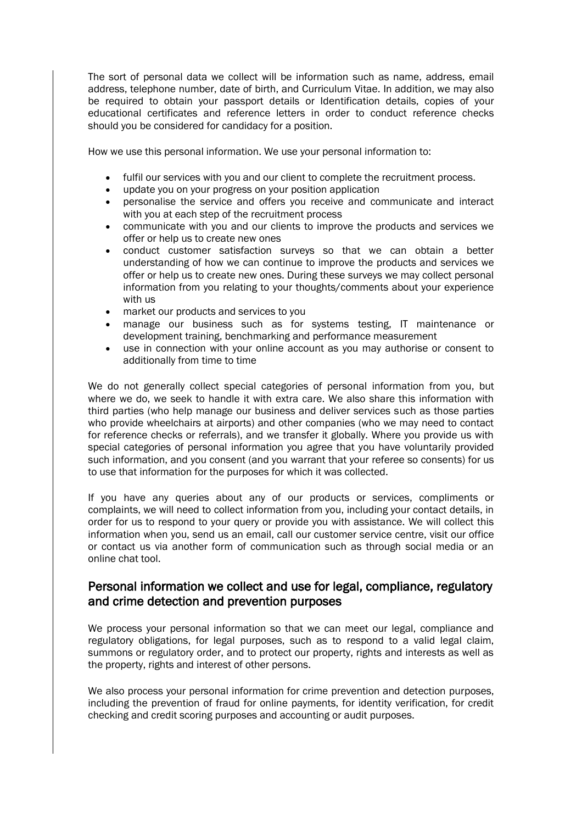The sort of personal data we collect will be information such as name, address, email address, telephone number, date of birth, and Curriculum Vitae. In addition, we may also be required to obtain your passport details or Identification details, copies of your educational certificates and reference letters in order to conduct reference checks should you be considered for candidacy for a position.

How we use this personal information. We use your personal information to:

- fulfil our services with you and our client to complete the recruitment process.
- update you on your progress on your position application
- personalise the service and offers you receive and communicate and interact with you at each step of the recruitment process
- communicate with you and our clients to improve the products and services we offer or help us to create new ones
- conduct customer satisfaction surveys so that we can obtain a better understanding of how we can continue to improve the products and services we offer or help us to create new ones. During these surveys we may collect personal information from you relating to your thoughts/comments about your experience with us
- market our products and services to you
- manage our business such as for systems testing, IT maintenance or development training, benchmarking and performance measurement
- use in connection with your online account as you may authorise or consent to additionally from time to time

We do not generally collect special categories of personal information from you, but where we do, we seek to handle it with extra care. We also share this information with third parties (who help manage our business and deliver services such as those parties who provide wheelchairs at airports) and other companies (who we may need to contact for reference checks or referrals), and we transfer it globally. Where you provide us with special categories of personal information you agree that you have voluntarily provided such information, and you consent (and you warrant that your referee so consents) for us to use that information for the purposes for which it was collected.

If you have any queries about any of our products or services, compliments or complaints, we will need to collect information from you, including your contact details, in order for us to respond to your query or provide you with assistance. We will collect this information when you, send us an email, call our customer service centre, visit our office or contact us via another form of communication such as through social media or an online chat tool.

## Personal information we collect and use for legal, compliance, regulatory and crime detection and prevention purposes

We process your personal information so that we can meet our legal, compliance and regulatory obligations, for legal purposes, such as to respond to a valid legal claim, summons or regulatory order, and to protect our property, rights and interests as well as the property, rights and interest of other persons.

We also process your personal information for crime prevention and detection purposes, including the prevention of fraud for online payments, for identity verification, for credit checking and credit scoring purposes and accounting or audit purposes.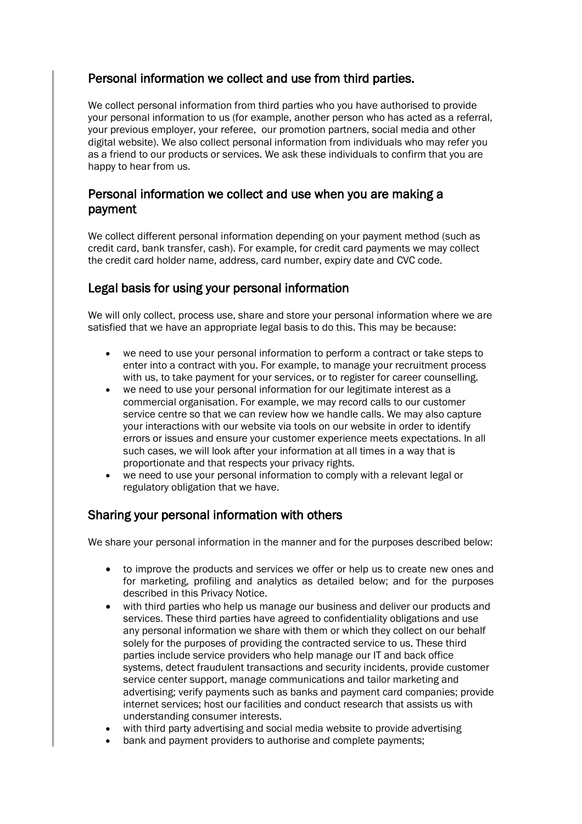# Personal information we collect and use from third parties.

We collect personal information from third parties who you have authorised to provide your personal information to us (for example, another person who has acted as a referral, your previous employer, your referee, our promotion partners, social media and other digital website). We also collect personal information from individuals who may refer you as a friend to our products or services. We ask these individuals to confirm that you are happy to hear from us.

# Personal information we collect and use when you are making a payment

We collect different personal information depending on your payment method (such as credit card, bank transfer, cash). For example, for credit card payments we may collect the credit card holder name, address, card number, expiry date and CVC code.

# Legal basis for using your personal information

We will only collect, process use, share and store your personal information where we are satisfied that we have an appropriate legal basis to do this. This may be because:

- we need to use your personal information to perform a contract or take steps to enter into a contract with you. For example, to manage your recruitment process with us, to take payment for your services, or to register for career counselling.
- we need to use your personal information for our legitimate interest as a commercial organisation. For example, we may record calls to our customer service centre so that we can review how we handle calls. We may also capture your interactions with our website via tools on our website in order to identify errors or issues and ensure your customer experience meets expectations. In all such cases, we will look after your information at all times in a way that is proportionate and that respects your privacy rights.
- we need to use your personal information to comply with a relevant legal or regulatory obligation that we have.

# Sharing your personal information with others

We share your personal information in the manner and for the purposes described below:

- to improve the products and services we offer or help us to create new ones and for marketing, profiling and analytics as detailed below; and for the purposes described in this Privacy Notice.
- with third parties who help us manage our business and deliver our products and services. These third parties have agreed to confidentiality obligations and use any personal information we share with them or which they collect on our behalf solely for the purposes of providing the contracted service to us. These third parties include service providers who help manage our IT and back office systems, detect fraudulent transactions and security incidents, provide customer service center support, manage communications and tailor marketing and advertising; verify payments such as banks and payment card companies; provide internet services; host our facilities and conduct research that assists us with understanding consumer interests.
- with third party advertising and social media website to provide advertising
- bank and payment providers to authorise and complete payments;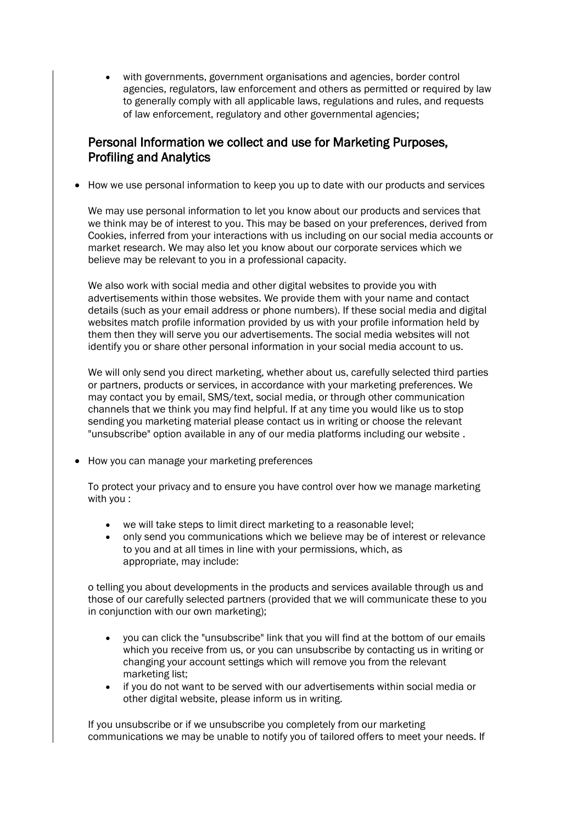with governments, government organisations and agencies, border control agencies, regulators, law enforcement and others as permitted or required by law to generally comply with all applicable laws, regulations and rules, and requests of law enforcement, regulatory and other governmental agencies;

# Personal Information we collect and use for Marketing Purposes, Profiling and Analytics

• How we use personal information to keep you up to date with our products and services

We may use personal information to let you know about our products and services that we think may be of interest to you. This may be based on your preferences, derived from Cookies, inferred from your interactions with us including on our social media accounts or market research. We may also let you know about our corporate services which we believe may be relevant to you in a professional capacity.

We also work with social media and other digital websites to provide you with advertisements within those websites. We provide them with your name and contact details (such as your email address or phone numbers). If these social media and digital websites match profile information provided by us with your profile information held by them then they will serve you our advertisements. The social media websites will not identify you or share other personal information in your social media account to us.

We will only send you direct marketing, whether about us, carefully selected third parties or partners, products or services, in accordance with your marketing preferences. We may contact you by email, SMS/text, social media, or through other communication channels that we think you may find helpful. If at any time you would like us to stop sending you marketing material please contact us in writing or choose the relevant "unsubscribe" option available in any of our media platforms including our website .

• How you can manage your marketing preferences

To protect your privacy and to ensure you have control over how we manage marketing with you :

- we will take steps to limit direct marketing to a reasonable level;
- only send you communications which we believe may be of interest or relevance to you and at all times in line with your permissions, which, as appropriate, may include:

o telling you about developments in the products and services available through us and those of our carefully selected partners (provided that we will communicate these to you in conjunction with our own marketing);

- you can click the "unsubscribe" link that you will find at the bottom of our emails which you receive from us, or you can unsubscribe by contacting us in writing or changing your account settings which will remove you from the relevant marketing list;
- if you do not want to be served with our advertisements within social media or other digital website, please inform us in writing.

If you unsubscribe or if we unsubscribe you completely from our marketing communications we may be unable to notify you of tailored offers to meet your needs. If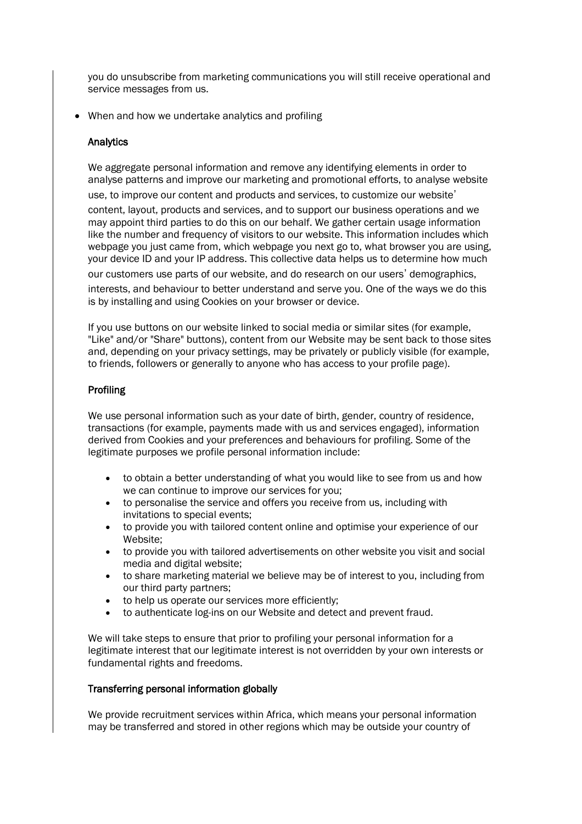you do unsubscribe from marketing communications you will still receive operational and service messages from us.

• When and how we undertake analytics and profiling

## **Analytics**

We aggregate personal information and remove any identifying elements in order to analyse patterns and improve our marketing and promotional efforts, to analyse website use, to improve our content and products and services, to customize our website'

content, layout, products and services, and to support our business operations and we may appoint third parties to do this on our behalf. We gather certain usage information like the number and frequency of visitors to our website. This information includes which webpage you just came from, which webpage you next go to, what browser you are using, your device ID and your IP address. This collective data helps us to determine how much our customers use parts of our website, and do research on our users' demographics, interests, and behaviour to better understand and serve you. One of the ways we do this is by installing and using Cookies on your browser or device.

If you use buttons on our website linked to social media or similar sites (for example, "Like" and/or "Share" buttons), content from our Website may be sent back to those sites and, depending on your privacy settings, may be privately or publicly visible (for example, to friends, followers or generally to anyone who has access to your profile page).

## Profiling

We use personal information such as your date of birth, gender, country of residence, transactions (for example, payments made with us and services engaged), information derived from Cookies and your preferences and behaviours for profiling. Some of the legitimate purposes we profile personal information include:

- to obtain a better understanding of what you would like to see from us and how we can continue to improve our services for you;
- to personalise the service and offers you receive from us, including with invitations to special events;
- to provide you with tailored content online and optimise your experience of our Website;
- to provide you with tailored advertisements on other website you visit and social media and digital website;
- to share marketing material we believe may be of interest to you, including from our third party partners;
- to help us operate our services more efficiently;
- to authenticate log-ins on our Website and detect and prevent fraud.

We will take steps to ensure that prior to profiling your personal information for a legitimate interest that our legitimate interest is not overridden by your own interests or fundamental rights and freedoms.

## Transferring personal information globally

We provide recruitment services within Africa, which means your personal information may be transferred and stored in other regions which may be outside your country of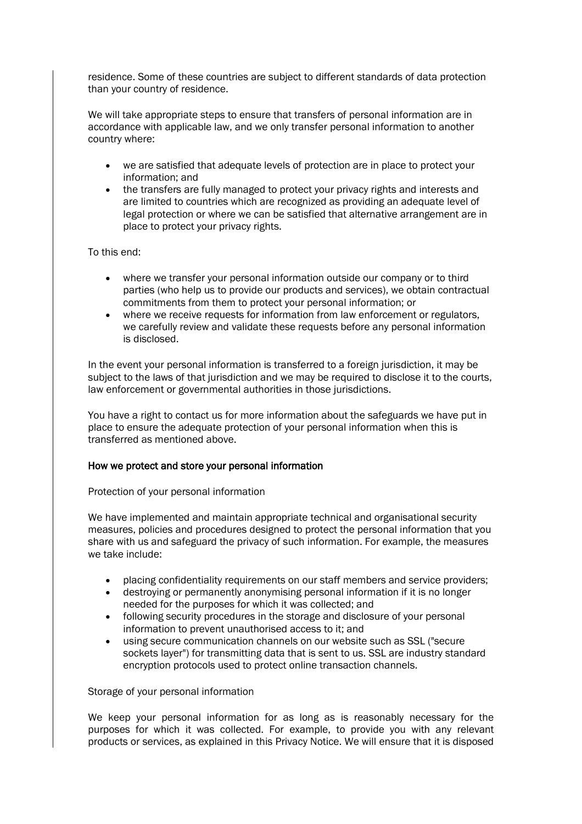residence. Some of these countries are subject to different standards of data protection than your country of residence.

We will take appropriate steps to ensure that transfers of personal information are in accordance with applicable law, and we only transfer personal information to another country where:

- we are satisfied that adequate levels of protection are in place to protect your information; and
- the transfers are fully managed to protect your privacy rights and interests and are limited to countries which are recognized as providing an adequate level of legal protection or where we can be satisfied that alternative arrangement are in place to protect your privacy rights.

To this end:

- where we transfer your personal information outside our company or to third parties (who help us to provide our products and services), we obtain contractual commitments from them to protect your personal information; or
- where we receive requests for information from law enforcement or regulators, we carefully review and validate these requests before any personal information is disclosed.

In the event your personal information is transferred to a foreign jurisdiction, it may be subject to the laws of that jurisdiction and we may be required to disclose it to the courts, law enforcement or governmental authorities in those jurisdictions.

You have a right to contact us for more information about the safeguards we have put in place to ensure the adequate protection of your personal information when this is transferred as mentioned above.

## How we protect and store your personal information

Protection of your personal information

We have implemented and maintain appropriate technical and organisational security measures, policies and procedures designed to protect the personal information that you share with us and safeguard the privacy of such information. For example, the measures we take include:

- placing confidentiality requirements on our staff members and service providers;
- destroying or permanently anonymising personal information if it is no longer needed for the purposes for which it was collected; and
- following security procedures in the storage and disclosure of your personal information to prevent unauthorised access to it; and
- using secure communication channels on our website such as SSL ("secure sockets layer") for transmitting data that is sent to us. SSL are industry standard encryption protocols used to protect online transaction channels.

## Storage of your personal information

We keep your personal information for as long as is reasonably necessary for the purposes for which it was collected. For example, to provide you with any relevant products or services, as explained in this Privacy Notice. We will ensure that it is disposed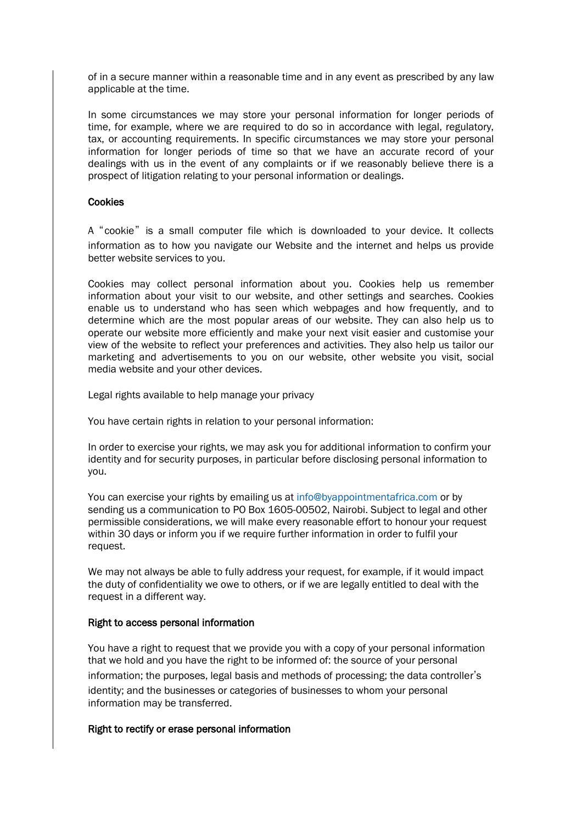of in a secure manner within a reasonable time and in any event as prescribed by any law applicable at the time.

In some circumstances we may store your personal information for longer periods of time, for example, where we are required to do so in accordance with legal, regulatory, tax, or accounting requirements. In specific circumstances we may store your personal information for longer periods of time so that we have an accurate record of your dealings with us in the event of any complaints or if we reasonably believe there is a prospect of litigation relating to your personal information or dealings.

## **Cookies**

A "cookie" is a small computer file which is downloaded to your device. It collects information as to how you navigate our Website and the internet and helps us provide better website services to you.

Cookies may collect personal information about you. Cookies help us remember information about your visit to our website, and other settings and searches. Cookies enable us to understand who has seen which webpages and how frequently, and to determine which are the most popular areas of our website. They can also help us to operate our website more efficiently and make your next visit easier and customise your view of the website to reflect your preferences and activities. They also help us tailor our marketing and advertisements to you on our website, other website you visit, social media website and your other devices.

Legal rights available to help manage your privacy

You have certain rights in relation to your personal information:

In order to exercise your rights, we may ask you for additional information to confirm your identity and for security purposes, in particular before disclosing personal information to you.

You can exercise your rights by emailing us at info@byappointmentafrica.com or by sending us a communication to PO Box 1605-00502, Nairobi. Subject to legal and other permissible considerations, we will make every reasonable effort to honour your request within 30 days or inform you if we require further information in order to fulfil your request.

We may not always be able to fully address your request, for example, if it would impact the duty of confidentiality we owe to others, or if we are legally entitled to deal with the request in a different way.

## Right to access personal information

You have a right to request that we provide you with a copy of your personal information that we hold and you have the right to be informed of: the source of your personal information; the purposes, legal basis and methods of processing; the data controller's identity; and the businesses or categories of businesses to whom your personal information may be transferred.

## Right to rectify or erase personal information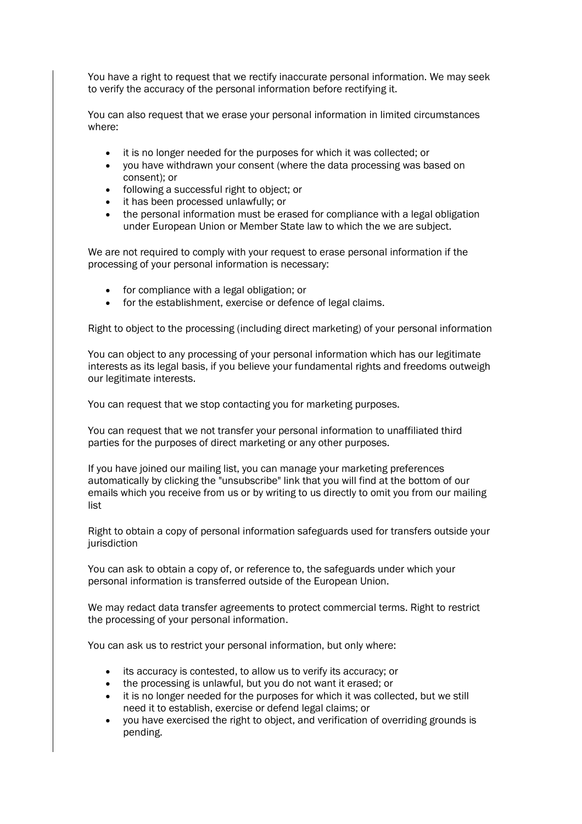You have a right to request that we rectify inaccurate personal information. We may seek to verify the accuracy of the personal information before rectifying it.

You can also request that we erase your personal information in limited circumstances where:

- it is no longer needed for the purposes for which it was collected; or
- you have withdrawn your consent (where the data processing was based on consent); or
- following a successful right to object; or
- it has been processed unlawfully; or
- the personal information must be erased for compliance with a legal obligation under European Union or Member State law to which the we are subject.

We are not required to comply with your request to erase personal information if the processing of your personal information is necessary:

- for compliance with a legal obligation; or
- for the establishment, exercise or defence of legal claims.

Right to object to the processing (including direct marketing) of your personal information

You can object to any processing of your personal information which has our legitimate interests as its legal basis, if you believe your fundamental rights and freedoms outweigh our legitimate interests.

You can request that we stop contacting you for marketing purposes.

You can request that we not transfer your personal information to unaffiliated third parties for the purposes of direct marketing or any other purposes.

If you have joined our mailing list, you can manage your marketing preferences automatically by clicking the "unsubscribe" link that you will find at the bottom of our emails which you receive from us or by writing to us directly to omit you from our mailing list

Right to obtain a copy of personal information safeguards used for transfers outside your iurisdiction

You can ask to obtain a copy of, or reference to, the safeguards under which your personal information is transferred outside of the European Union.

We may redact data transfer agreements to protect commercial terms. Right to restrict the processing of your personal information.

You can ask us to restrict your personal information, but only where:

- its accuracy is contested, to allow us to verify its accuracy; or
- the processing is unlawful, but you do not want it erased; or
- it is no longer needed for the purposes for which it was collected, but we still need it to establish, exercise or defend legal claims; or
- you have exercised the right to object, and verification of overriding grounds is pending.